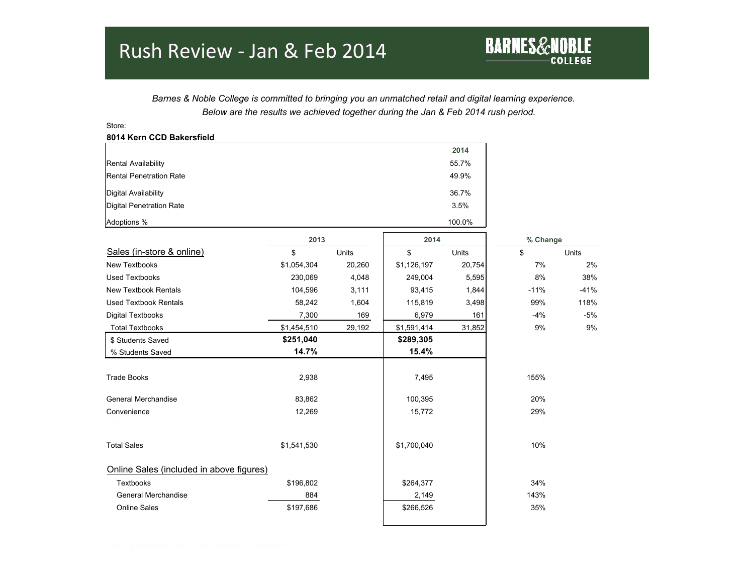## Rush Review - Jan & Feb 2014

Store:

 *Barnes & Noble College is committed to bringing you an unmatched retail and digital learning experience. Below are the results we achieved together during the Jan & Feb 2014 rush period.*

**BARNES&NOBLE** 

**8014 Kern CCD Bakersfield 2014** Rental Availability 55.7% Rental Penetration Rate 49.9% Digital Availability 36.7% Digital Penetration Rate 3.5% Adoptions % 100.0%  **2013 2014 % Change** Sales (in-store & online)  $\begin{array}{cccc} \text{S} & \text{S} & \text{S} & \text{S} & \text{S} & \text{S} & \text{S} & \text{S} & \text{S} \\ \end{array}$ New Textbooks \$1,054,304 20,260 | \$1,126,197 20,754| 7% 2% Used Textbooks 230,069 4,048 249,004 5,595 8% 38% New Textbook Rentals 104,596 3,111 | 93,415 1,844 -11% -41% Used Textbook Rentals 118% **58,242** 1,604 115,819 3,498 99% 118% Digital Textbooks 7,300 169 6,979 161 -4% -5% Total Textbooks \$1,454,510 29,192 \$1,591,414 31,852 9% 9% \$ Students Saved **\$251,040 \$289,305** % Students Saved **14.7% 15.4%** Trade Books 2,938 7,495 155% General Merchandise 20% 20% 20% 20% 83,862 100,395 20% Convenience 12,269 15,772 29% Cafe  $0$   $0$   $0$   $0$   $0$   $0$   $+$ Total Sales \$1,541,530 \$1,700,040 10% Online Sales (included in above figures) Textbooks \$196,802 \$264,377 34% General Merchandise 2,149 143% Online Sales \$197,686 \$266,526 35%